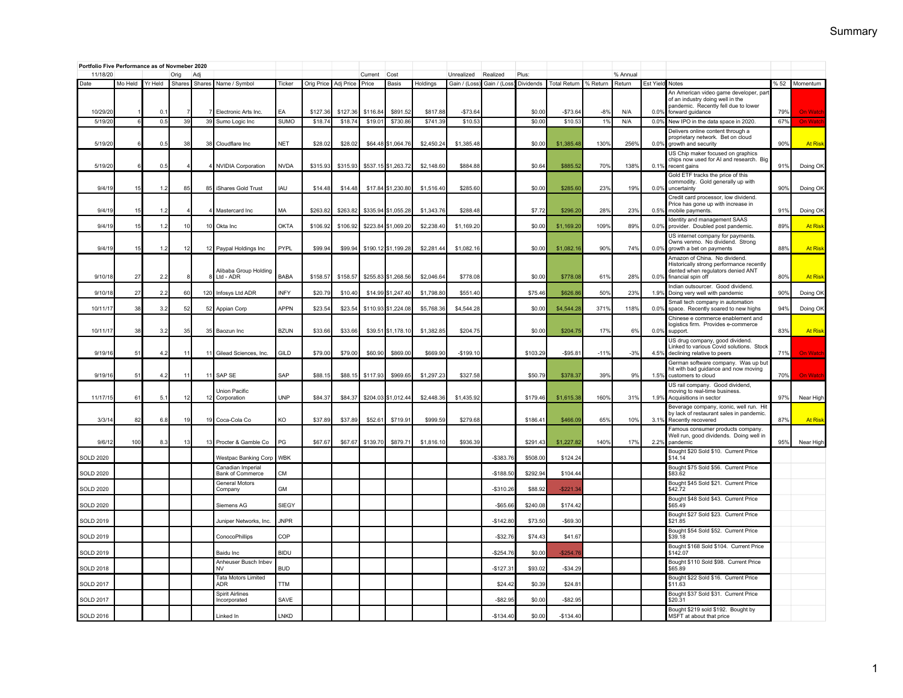| Portfolio Five Performance as of Novmeber 2020<br>11/18/20<br>Adi |         |         |                |        |                                        |             |            |           | Current  | Cost                |            | Unrealized   | Realized     | Plus:     |                     |          | % Annual |           |                                                                                                                                        |     |                |
|-------------------------------------------------------------------|---------|---------|----------------|--------|----------------------------------------|-------------|------------|-----------|----------|---------------------|------------|--------------|--------------|-----------|---------------------|----------|----------|-----------|----------------------------------------------------------------------------------------------------------------------------------------|-----|----------------|
| Date                                                              | Mo Held | Yr Held | Orig<br>Shares | Shares | Name / Symbol                          | Ticker      | Orig Price | Adj Price | Price    | <b>Basis</b>        | Holdings   | Gain / (Loss | Gain / (Loss | Dividends | <b>Total Return</b> | % Return | Return   | Est Yield | Notes                                                                                                                                  |     | % 52 Momentum  |
| 10/29/20                                                          |         | 0.1     |                |        | Flectronic Arts Inc.                   | FA          | \$127.36   | \$127.36  | \$116.84 | \$891.52            | \$817.88   | $-$73.64$    |              | \$0.00    | $-$73.64$           | $-8%$    | N/A      | 0.0%      | An American video game developer, part<br>of an industry doing well in the<br>pandemic. Recently fell due to lower<br>forward guidance | 79% | <b>On Watc</b> |
| 5/19/20                                                           |         | 0.5     | 39             | 39     | Sumo Logic Inc                         | <b>SUMO</b> | \$18.7     | \$18.7    | \$19.0   | \$730.8             | \$741.39   | \$10.53      |              | \$0.00    | \$10.53             | 1%       | N/A      | 0.0%      | New IPO in the data space in 2020.                                                                                                     | 67% | On Wa          |
| 5/19/20                                                           |         | 0.5     | 38             |        | 38 Cloudflare Inc                      | <b>NET</b>  | \$28.02    | \$28.02   |          | \$64.48 \$1.064.76  | \$2,450.24 | \$1,385.48   |              | \$0.00    | \$1,385.48          | 130%     | 256%     | 0.0%      | Delivers online content through a<br>proprietary network. Bet on cloud<br>growth and security                                          | 90% | <b>At Risk</b> |
| 5/19/20                                                           | 6       | 0.5     |                |        | 4 NVIDIA Corporation                   | <b>NVDA</b> | \$315.93   | \$315.93  |          | \$537.15 \$1,263.72 | \$2,148.60 | \$884.88     |              | \$0.64    | \$885.52            | 70%      | 138%     | 0.1%      | US Chip maker focused on graphics<br>chips now used for AI and research. Big<br>recent gains                                           | 91% | Doing OK       |
| 9/4/19                                                            | 15      | 1.2     | 85             |        | 85 Shares Gold Trust                   | IAU         | \$14.48    | \$14.48   |          | \$17.84 \$1,230.80  | \$1,516.40 | \$285.60     |              | \$0.00    | \$285.60            | 23%      | 19%      | 0.0%      | Gold ETF tracks the price of this<br>commodity. Gold generally up with<br>uncertainty                                                  | 90% | Doing OK       |
| 9/4/19                                                            | 15      | 1.2     |                |        | Mastercard Inc                         | MA          | \$263.82   | \$263.82  |          | \$335.94 \$1,055.28 | \$1,343.76 | \$288.48     |              | \$7.72    | \$296.20            | 28%      | 23%      | 0.5%      | Credit card processor, low dividend.<br>Price has gone up with increase in<br>mobile payments.                                         | 91% | Doing OK       |
| 9/4/19                                                            | 15      | 1.2     | 10             | 10     | Okta Inc                               | OKTA        | \$106.92   | \$106.92  | \$223.84 | \$1,069.20          | \$2,238.40 | \$1,169.20   |              | \$0.00    | \$1,169.20          | 109%     | 89%      | 0.0%      | Identity and management SAAS<br>provider. Doubled post pandemic.                                                                       | 89% | <b>At Ris</b>  |
| 9/4/19                                                            | 15      | 1.2     | 12             |        | 12 Paypal Holdings Inc                 | PYPL        | \$99.94    | \$99.94   |          | \$190.12 \$1,199.28 | \$2,281.44 | \$1,082.16   |              | \$0.00    | \$1,082.16          | 90%      | 74%      | 0.0%      | US internet company for payments.<br>Owns venmo. No dividend. Strong<br>growth a bet on payments                                       | 88% | <b>At Risk</b> |
| 9/10/1                                                            | 27      | 2.2     |                |        | Alibaba Group Holding<br>Ltd - ADR     | <b>BABA</b> | \$158.5    | \$158.57  | \$255.83 | \$1,268.56          | \$2,046.64 | \$778.08     |              | \$0.00    | \$778.08            | 61%      | 28%      | 0.0%      | Amazon of China. No dividend.<br>Historically strong performance recently<br>dented when regulators denied ANT<br>financial spin off   | 80% | <b>At Ris</b>  |
| 9/10/18                                                           | 27      | 2.2     | 60             |        | 120 Infosys Ltd ADR                    | <b>INFY</b> | \$20.79    | \$10.40   | \$14.99  | \$1,247.4           | \$1,798.80 | \$551.40     |              | \$75.46   | \$626.86            | 50%      | 23%      | 1.9%      | Indian outsourcer. Good dividend.                                                                                                      | 90% | Doing OK       |
| 10/11/1                                                           | 38      | 3.2     | 52             | 52     | Appian Corp                            | APPN        | \$23.5     | \$23.54   | \$110.93 | \$1,224.0           | \$5,768.36 | \$4,544.28   |              | \$0.00    | \$4,544.28          | 3719     | 118%     | 0.0%      | Doing very well with pandemic<br>Small tech company in automation<br>space. Recently soared to new highs                               | 94% | Doing OK       |
| 10/11/17                                                          | 38      | 3.2     | 35             | 35     | Baozun Inc                             | <b>BZUN</b> | \$33.66    | \$33.66   | \$39.51  | \$1,178.10          | \$1,382.85 | \$204.75     |              | \$0.00    | \$204.75            | 17%      | 6%       | 0.0%      | Chinese e commerce enablement and<br>logistics firm. Provides e-commerce<br>support.                                                   | 83% | <b>At Risk</b> |
| 9/19/16                                                           | 51      | 4.2     | 11             | 11     | Gilead Sciences, Inc.                  | GILD        | \$79.00    | \$79.00   | \$60.90  | \$869.00            | \$669.90   | $-$199.10$   |              | \$103.29  | $-$95.81$           | $-11%$   | $-3%$    | 4.5%      | US drug company, good dividend.<br>Linked to various Covid solutions. Stock<br>declining relative to peers                             | 71% | <b>On Watc</b> |
| 9/19/16                                                           | 51      | 4.2     | 11             | 11     | SAP SE                                 | SAP         | \$88.15    | \$88.15   | \$117.93 | \$969.65            | \$1,297.23 | \$327.58     |              | \$50.79   | \$378.37            | 39%      | 9%       | 1.5%      | German software company. Was up but<br>hit with bad guidance and now moving<br>customers to cloud                                      | 70% | <b>On Watc</b> |
| 11/17/15                                                          | 61      | 5.1     | 12             | 12     | <b>Union Pacific</b><br>Corporation    | <b>UNP</b>  | \$84.37    | \$84.37   | \$204.03 | \$1,012.44          | \$2,448.36 | \$1,435.92   |              | \$179.46  | \$1,615.38          | 160%     | 31%      | 1.9%      | US rail company. Good dividend,<br>moving to real-time business.<br>Acquisitions in sector                                             | 97% | Near High      |
| 3/3/14                                                            | 82      | 6.8     | 19             |        | 19 Coca-Cola Co                        | KO          | \$37.89    | \$37.89   | \$52.6'  | \$719.91            | \$999.59   | \$279.68     |              | \$186.4   | \$466.09            | 65%      | 10%      | 3.1%      | Beverage company, iconic, well run. Hit<br>by lack of restaurant sales in pandemic.<br>Recently recovered                              | 87% | <b>At Ris</b>  |
| 9/6/12                                                            | 100     | 8.3     | 13             |        | 13 Procter & Gamble Co                 | PG          | \$67.67    | \$67.67   | \$139.70 | \$879.71            | \$1,816.10 | \$936.39     |              | \$291.43  | \$1,227.82          | 140%     | 17%      | 2.2%      | Famous consumer products company.<br>Well run, good dividends. Doing well in<br>pandemic                                               | 95% | Near High      |
| <b>SOLD 2020</b>                                                  |         |         |                |        | <b>Westpac Banking Corp</b>            | <b>WBK</b>  |            |           |          |                     |            |              | $-$383.7$    | \$508.00  | \$124.24            |          |          |           | Bought \$20 Sold \$10. Current Price<br>\$14.14                                                                                        |     |                |
| <b>SOLD 2020</b>                                                  |         |         |                |        | Canadian Imperial<br>Bank of Commerce  | <b>CM</b>   |            |           |          |                     |            |              | $-$188.5$    | \$292.94  | \$104.4             |          |          |           | Bought \$75 Sold \$56. Current Price<br>\$83.62                                                                                        |     |                |
| <b>SOLD 2020</b>                                                  |         |         |                |        | General Motors<br>Company              | <b>GM</b>   |            |           |          |                     |            |              | $-$310.2$    | \$88.92   | $-$ \$221.3         |          |          |           | Bought \$45 Sold \$21. Current Price<br>\$42.72                                                                                        |     |                |
| <b>SOLD 2020</b>                                                  |         |         |                |        | Siemens AG                             | SIEGY       |            |           |          |                     |            |              | $-$65.6$     | \$240.08  | \$174.42            |          |          |           | Bought \$48 Sold \$43. Current Price<br>\$65.49                                                                                        |     |                |
| <b>SOLD 2019</b>                                                  |         |         |                |        | Juniper Networks, Inc.                 | <b>JNPR</b> |            |           |          |                     |            |              | $-$142.8$    | \$73.50   | $-$69.30$           |          |          |           | Bought \$27 Sold \$23. Current Price<br>\$21.85                                                                                        |     |                |
| <b>SOLD 2019</b>                                                  |         |         |                |        | ConocoPhillips                         | COP         |            |           |          |                     |            |              | $-$32.7$     | \$74.43   | \$41.6              |          |          |           | Bought \$54 Sold \$52. Current Price<br>\$39.18                                                                                        |     |                |
| <b>SOLD 2019</b>                                                  |         |         |                |        | Baidu Inc                              | <b>BIDU</b> |            |           |          |                     |            |              | $-$254.76$   | \$0.00    | $-$ \$254.7         |          |          |           | Bought \$168 Sold \$104. Current Price<br>\$142.07                                                                                     |     |                |
| <b>SOLD 2018</b>                                                  |         |         |                |        | Anheuser Busch Inbey<br><b>NV</b>      | <b>BUD</b>  |            |           |          |                     |            |              | $-$127.3$    | \$93.02   | $-$34.29$           |          |          |           | Bought \$110 Sold \$98. Current Price<br>\$65.89                                                                                       |     |                |
| <b>SOLD 2017</b>                                                  |         |         |                |        | <b>Tata Motors Limited</b><br>ADR      | <b>TTM</b>  |            |           |          |                     |            |              | \$24.4       | \$0.39    | \$24.8              |          |          |           | Bought \$22 Sold \$16. Current Price<br>\$11.63                                                                                        |     |                |
| <b>SOLD 2017</b>                                                  |         |         |                |        | <b>Spirit Airlines</b><br>Incorporated | SAVE        |            |           |          |                     |            |              | $-$ \$82.9   | \$0.00    | \$82.9              |          |          |           | Bought \$37 Sold \$31. Current Price<br>\$20.31                                                                                        |     |                |
| <b>SOLD 2016</b>                                                  |         |         |                |        | Linked In                              | LNKD        |            |           |          |                     |            |              | $-$134.40$   | \$0.00    | $-$134.40$          |          |          |           | Bought \$219 sold \$192. Bought by<br>MSFT at about that price                                                                         |     |                |